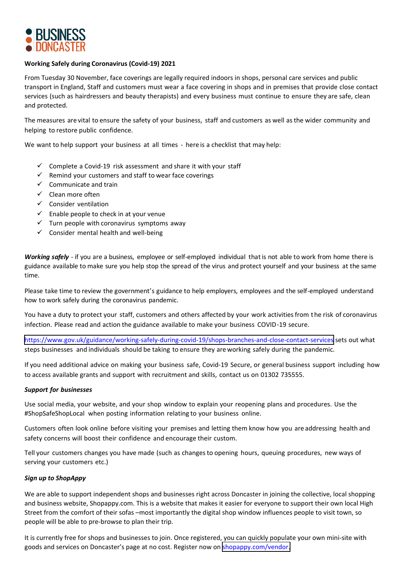

## **Working Safely during Coronavirus (Covid-19) 2021**

From Tuesday 30 November, face coverings are legally required indoors in shops, personal care services and public transport in England, Staff and customers must wear a face covering in shops and in premises that provide close contact services (such as hairdressers and beauty therapists) and every business must continue to ensure they are safe, clean and protected.

The measures are vital to ensure the safety of your business, staff and customers as well as the wider community and helping to restore public confidence.

We want to help support your business at all times - here is a checklist that may help:

- $\checkmark$  Complete a Covid-19 risk assessment and share it with your staff
- $\checkmark$  Remind your customers and staff to wear face coverings
- $\checkmark$  Communicate and train
- $\checkmark$  Clean more often
- $\checkmark$  Consider ventilation
- $\checkmark$  Enable people to check in at your venue
- $\checkmark$  Turn people with coronavirus symptoms away
- $\checkmark$  Consider mental health and well-being

*Working safely* - if you are a business, employee or self-employed individual that is not able to work from home there is guidance available to make sure you help stop the spread of the virus and protect yourself and your business at the same time.

Please take time to review the government's guidance to help employers, employees and the self-employed understand how to work safely during the coronavirus pandemic.

You have a duty to protect your staff, customers and others affected by your work activities from the risk of coronavirus infection. Please read and action the guidance available to make your business COVID-19 secure.

[https://www.gov.uk/guidance/working-safely-during-covid-19/sho](https://www.gov.uk/guidance/working-safely-during-coronavirus-covid-19)[ps-branches-and-close-contact-services](https://www.gov.uk/guidance/working-safely-during-covid-19/shops-branches-and-close-contact-services) sets out what steps businesses and individuals should be taking to ensure they are working safely during the pandemic.

If you need additional advice on making your business safe, Covid-19 Secure, or general business support including how to access available grants and support with recruitment and skills, contact us on 01302 735555.

## *Support for businesses*

Use social media, your website, and your shop window to explain your reopening plans and procedures. Use the #ShopSafeShopLocal when posting information relating to your business online.

Customers often look online before visiting your premises and letting them know how you are addressing health and safety concerns will boost their confidence and encourage their custom.

Tell your customers changes you have made (such as changes to opening hours, queuing procedures, new ways of serving your customers etc.)

## *Sign up to ShopAppy*

We are able to support independent shops and businesses right across Doncaster in joining the collective, local shopping and business website, Shopappy.com. This is a website that makes it easier for everyone to support their own local High Street from the comfort of their sofas –most importantly the digital shop window influences people to visit town, so people will be able to pre-browse to plan their trip.

It is current[ly free for shops and businesses to join. Once re](http://www.gov.uk/get-workplace-coronavirus-tests)gistered, you can quickly populate your own mini-site with goods and services on Doncaster's page at no cost. Register now on [shopappy.com/vendor.](Sign up to ShopAppy)